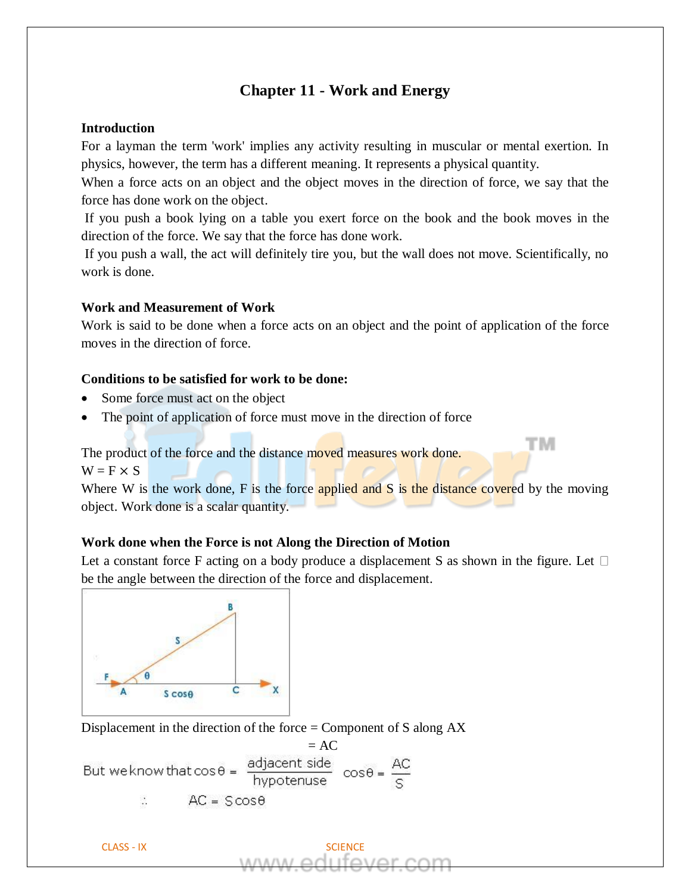# **Chapter 11 - Work and Energy**

#### **Introduction**

For a layman the term 'work' implies any activity resulting in muscular or mental exertion. In physics, however, the term has a different meaning. It represents a physical quantity.

When a force acts on an object and the object moves in the direction of force, we say that the force has done work on the object.

If you push a book lying on a table you exert force on the book and the book moves in the direction of the force. We say that the force has done work.

If you push a wall, the act will definitely tire you, but the wall does not move. Scientifically, no work is done.

#### **Work and Measurement of Work**

Work is said to be done when a force acts on an object and the point of application of the force moves in the direction of force.

## **Conditions to be satisfied for work to be done:**

- Some force must act on the object
- The point of application of force must move in the direction of force

The product of the force and the distance moved measures work done.

 $W = F \times S$ 

Where W is the work done,  $F$  is the force applied and  $S$  is the distance covered by the moving object. Work done is a scalar quantity.

тм

### **Work done when the Force is not Along the Direction of Motion**

Let a constant force F acting on a body produce a displacement S as shown in the figure. Let  $\Box$ be the angle between the direction of the force and displacement.



Displacement in the direction of the force = Component of S along AX

But we know that  $\cos \theta = \frac{\text{adjacent side}}{\text{hypotenuse}} \cos \theta = \frac{\text{AC}}{\text{c}}$  $AC = SCos\theta$ 

CLASS - IX SCIENCE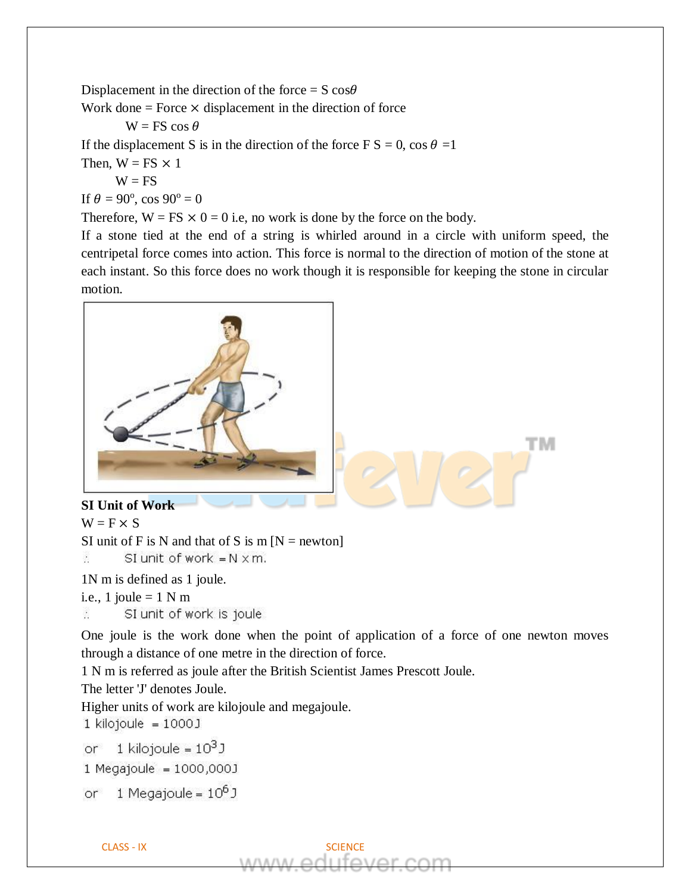Displacement in the direction of the force =  $S \cos\theta$ 

Work done  $=$  Force  $\times$  displacement in the direction of force

$$
W = FS \cos \theta
$$

If the displacement S is in the direction of the force  $\overline{F} S = 0$ , cos  $\theta =1$ 

- Then,  $W = FS \times 1$ 
	- $W = FS$

If  $\theta = 90^{\circ}$ , cos  $90^{\circ} = 0$ 

Therefore,  $W = FS \times 0 = 0$  i.e, no work is done by the force on the body.

If a stone tied at the end of a string is whirled around in a circle with uniform speed, the centripetal force comes into action. This force is normal to the direction of motion of the stone at each instant. So this force does no work though it is responsible for keeping the stone in circular motion.



## **SI Unit of Work**

 $W = F \times S$ 

SI unit of F is N and that of S is  $m \lfloor N \rfloor$  newton  $\ddot{\cdot}$ SI unit of work  $=N \times m$ .

1N m is defined as 1 joule.

i.e., 1 joule =  $1 N m$ 

 $\mathcal{L}_{\mathcal{L}}$ SI unit of work is joule

One joule is the work done when the point of application of a force of one newton moves through a distance of one metre in the direction of force.

1 N m is referred as joule after the British Scientist James Prescott Joule.

The letter 'J' denotes Joule.

Higher units of work are kilojoule and megajoule.

 $1$  kilojoule =  $1000$  J

1 kilojoule =  $10^3$ J **or** 

1 Megajoule = 1000,000J

1 Megajoule =  $10^6$  J or.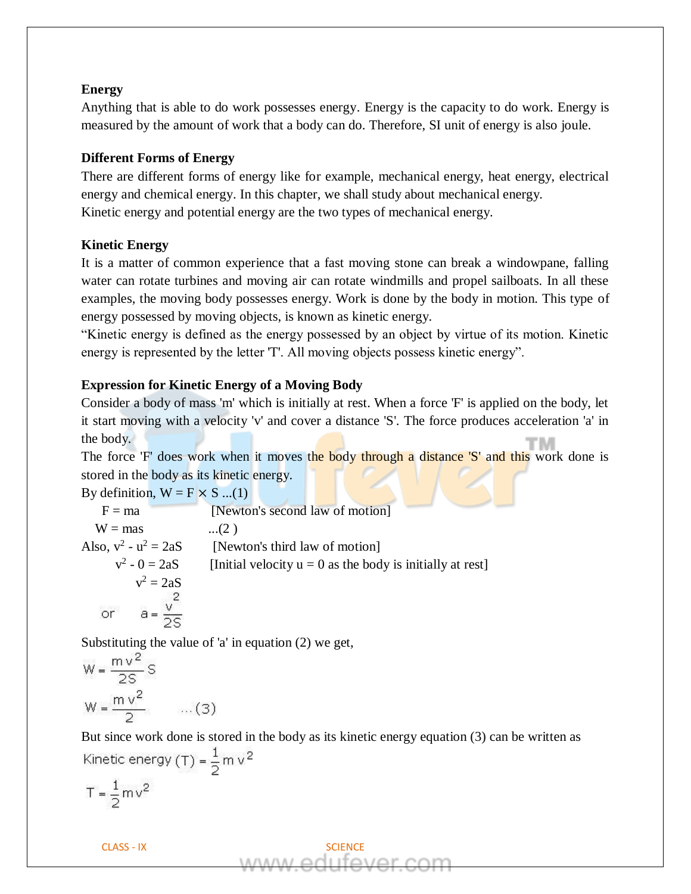### **Energy**

Anything that is able to do work possesses energy. Energy is the capacity to do work. Energy is measured by the amount of work that a body can do. Therefore, SI unit of energy is also joule.

## **Different Forms of Energy**

There are different forms of energy like for example, mechanical energy, heat energy, electrical energy and chemical energy. In this chapter, we shall study about mechanical energy. Kinetic energy and potential energy are the two types of mechanical energy.

### **Kinetic Energy**

It is a matter of common experience that a fast moving stone can break a windowpane, falling water can rotate turbines and moving air can rotate windmills and propel sailboats. In all these examples, the moving body possesses energy. Work is done by the body in motion. This type of energy possessed by moving objects, is known as kinetic energy.

"Kinetic energy is defined as the energy possessed by an object by virtue of its motion. Kinetic energy is represented by the letter 'T'. All moving objects possess kinetic energy".

### **Expression for Kinetic Energy of a Moving Body**

Consider a body of mass 'm' which is initially at rest. When a force 'F' is applied on the body, let it start moving with a velocity 'v' and cover a distance 'S'. The force produces acceleration 'a' in the body.

The force 'F' does work when it moves the body through a distance 'S' and this work done is stored in the body as its kinetic energy.

By definition,  $W = F \times S$  ...(1)

| $F = ma$                | [Newton's second law of motion]                             |
|-------------------------|-------------------------------------------------------------|
| $W = mas$               | $(2)$                                                       |
| Also, $v^2 - u^2 = 2aS$ | [Newton's third law of motion]                              |
| $v^2 - 0 = 2aS$         | [Initial velocity $u = 0$ as the body is initially at rest] |
| $v^2 = 2aS$             |                                                             |
|                         |                                                             |
|                         |                                                             |

Substituting the value of 'a' in equation (2) we get,

$$
W = \frac{m v^2}{2S} S
$$
  
W =  $\frac{m v^2}{2}$  ... (3)

But since work done is stored in the body as its kinetic energy equation (3) can be written asKinetic energy (T) =  $\frac{1}{2}$  m v<sup>2</sup>  $T = \frac{1}{2}mv^2$ 

CLASS - IX SCIENCE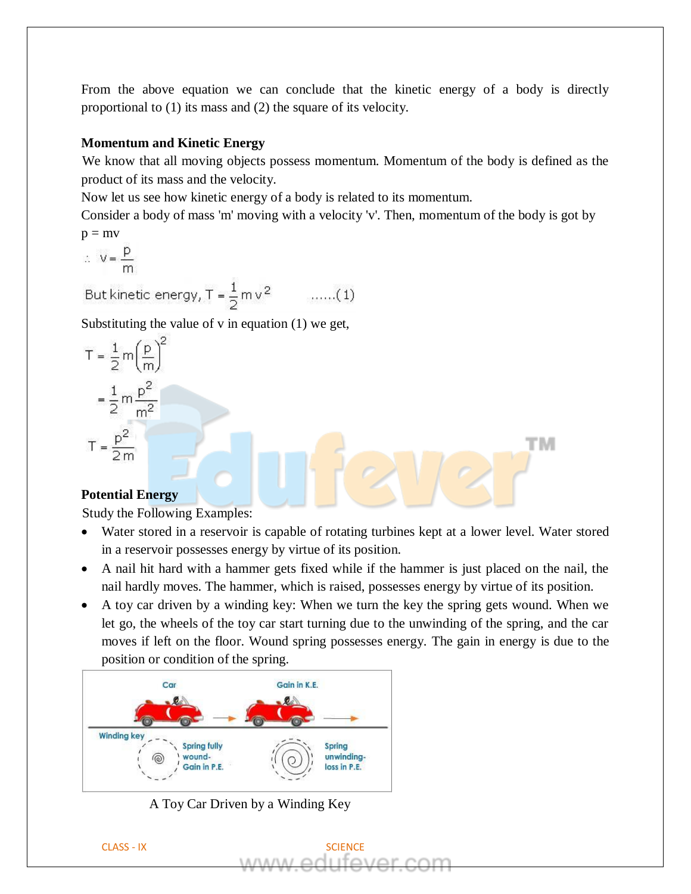From the above equation we can conclude that the kinetic energy of a body is directly proportional to (1) its mass and (2) the square of its velocity.

## **Momentum and Kinetic Energy**

We know that all moving objects possess momentum. Momentum of the body is defined as the product of its mass and the velocity.

Now let us see how kinetic energy of a body is related to its momentum.

Consider a body of mass 'm' moving with a velocity 'v'. Then, momentum of the body is got by  $p = mv$ 

$$
\therefore \quad V = \frac{p}{m}
$$

But kinetic energy,  $T = \frac{1}{2} m v^2$  .......(1)

Substituting the value of v in equation (1) we get,

$$
T = \frac{1}{2} m \left(\frac{p}{m}\right)^2
$$

$$
= \frac{1}{2} m \frac{p^2}{m^2}
$$

$$
T = \frac{p^2}{2m}
$$

## **Potential Energy**

Study the Following Examples:

• Water stored in a reservoir is capable of rotating turbines kept at a lower level. Water stored in a reservoir possesses energy by virtue of its position.

тм

- A nail hit hard with a hammer gets fixed while if the hammer is just placed on the nail, the nail hardly moves. The hammer, which is raised, possesses energy by virtue of its position.
- A toy car driven by a winding key: When we turn the key the spring gets wound. When we let go, the wheels of the toy car start turning due to the unwinding of the spring, and the car moves if left on the floor. Wound spring possesses energy. The gain in energy is due to the position or condition of the spring.



A Toy Car Driven by a Winding Key

CLASS - IX SCIENCE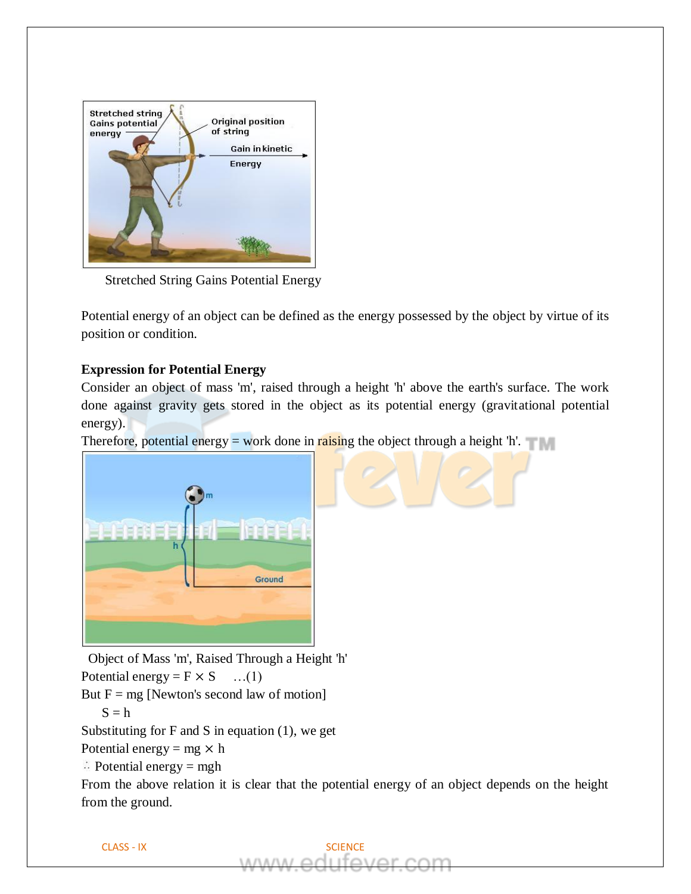

Stretched String Gains Potential Energy

Potential energy of an object can be defined as the energy possessed by the object by virtue of its position or condition.

## **Expression for Potential Energy**

Consider an object of mass 'm', raised through a height 'h' above the earth's surface. The work done against gravity gets stored in the object as its potential energy (gravitational potential energy).

Therefore, potential energy = work done in raising the object through a height  $h$ .



 Object of Mass 'm', Raised Through a Height 'h' Potential energy =  $F \times S$  ...(1) But  $F = mg$  [Newton's second law of motion]

$$
\boldsymbol{S}=\boldsymbol{h}
$$

Substituting for  $F$  and  $S$  in equation (1), we get

Potential energy = mg  $\times$  h

 $\triangle$  Potential energy = mgh

From the above relation it is clear that the potential energy of an object depends on the height from the ground.

**SCIENCE** 

$$
\mathsf{CLASS} \text{-}\mathsf{IX}
$$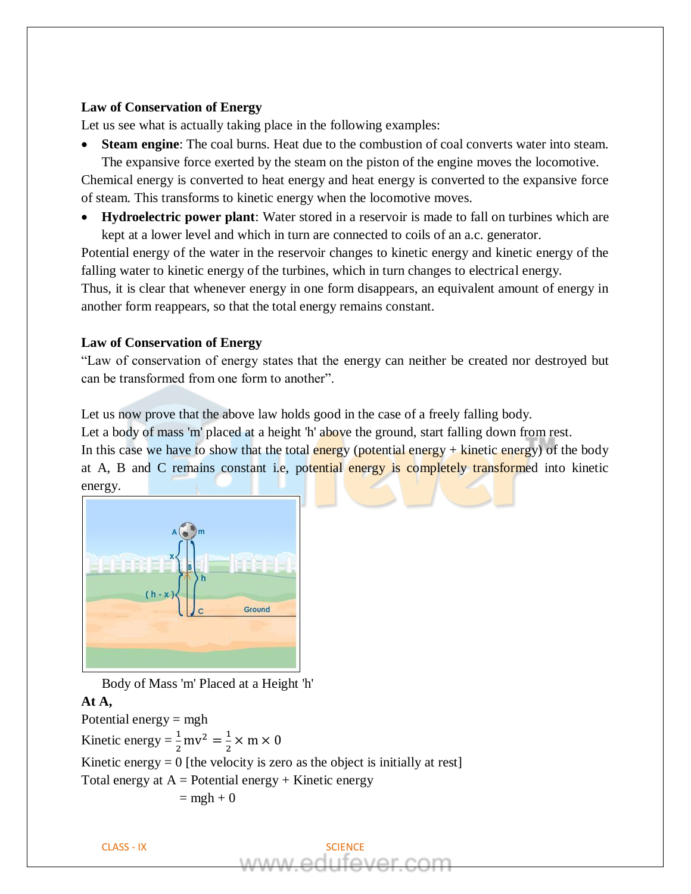#### **Law of Conservation of Energy**

Let us see what is actually taking place in the following examples:

**Steam engine**: The coal burns. Heat due to the combustion of coal converts water into steam.

The expansive force exerted by the steam on the piston of the engine moves the locomotive. Chemical energy is converted to heat energy and heat energy is converted to the expansive force of steam. This transforms to kinetic energy when the locomotive moves.

• **Hydroelectric power plant**: Water stored in a reservoir is made to fall on turbines which are kept at a lower level and which in turn are connected to coils of an a.c. generator.

Potential energy of the water in the reservoir changes to kinetic energy and kinetic energy of the falling water to kinetic energy of the turbines, which in turn changes to electrical energy.

Thus, it is clear that whenever energy in one form disappears, an equivalent amount of energy in another form reappears, so that the total energy remains constant.

### **Law of Conservation of Energy**

"Law of conservation of energy states that the energy can neither be created nor destroyed but can be transformed from one form to another".

Let us now prove that the above law holds good in the case of a freely falling body.

Let a body of mass 'm' placed at a height 'h' above the ground, start falling down from rest.

In this case we have to show that the total energy (potential energy  $+$  kinetic energy) of the body at A, B and C remains constant i.e, potential energy is completely transformed into kinetic energy.



Body of Mass 'm' Placed at a Height 'h'

## **At A,**

Potential energy = mgh Kinetic energy =  $\frac{1}{2}$  $\frac{1}{2}$  mv<sup>2</sup> =  $\frac{1}{2}$  $\frac{1}{2} \times m \times 0$ Kinetic energy  $= 0$  [the velocity is zero as the object is initially at rest] Total energy at  $A =$  Potential energy + Kinetic energy  $=$  mgh + 0

$$
\mathsf{CLASS} \text{-}\mathsf{IX}
$$

**SCIENCE**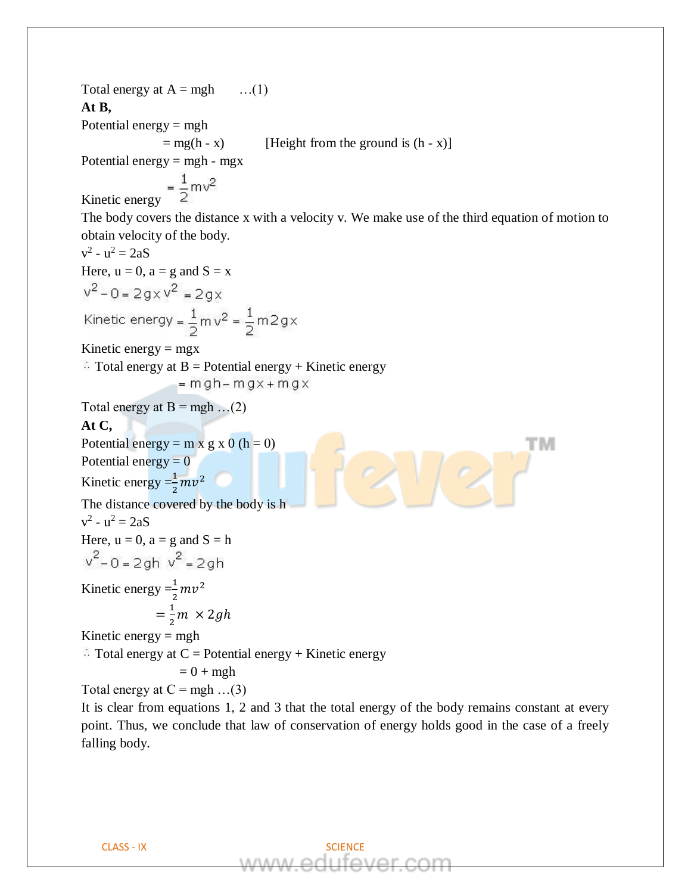Total energy at  $A = mgh$  ...(1) **At B,** Potential energy  $=$  mgh  $=$  mg(h - x) [Height from the ground is  $(h - x)$ ] Potential energy  $=$  mgh - mgx  $K<sub>inetic energy</sub> = \frac{1}{2}mv^2$ The body covers the distance x with a velocity v. We make use of the third equation of motion to obtain velocity of the body.  $v^2 - u^2 = 2aS$ Here,  $u = 0$ ,  $a = g$  and  $S = x$  $v^2 - 0 = 2gxv^2 = 2gx$ Kinetic energy =  $\frac{1}{2}$  m  $v^2$  =  $\frac{1}{2}$  m 2 g x Kinetic energy  $=$  mgx  $\therefore$  Total energy at B = Potential energy + Kinetic energy  $=$  mgh – mgx + mgx Total energy at  $B = mgh$  ...(2) **At C,** Potential energy =  $m \times g \times 0$  (h = 0) тм Potential energy  $= 0$ Kinetic energy  $=\frac{1}{2}$  $\frac{1}{2}mv^2$ The distance covered by the body is h  $v^2 - u^2 = 2aS$ Here,  $u = 0$ ,  $a = g$  and  $S = h$  $v^2 - 0 = 2ah v^2 = 2ah$ Kinetic energy  $=\frac{1}{2}$  $\frac{1}{2}mv^2$  $=\frac{1}{2}$  $\frac{1}{2}m \times 2gh$ Kinetic energy  $=$  mgh  $\therefore$  Total energy at C = Potential energy + Kinetic energy  $= 0 + mgh$ Total energy at  $C = mgh$  ...(3) It is clear from equations 1, 2 and 3 that the total energy of the body remains constant at every

point. Thus, we conclude that law of conservation of energy holds good in the case of a freely falling body.